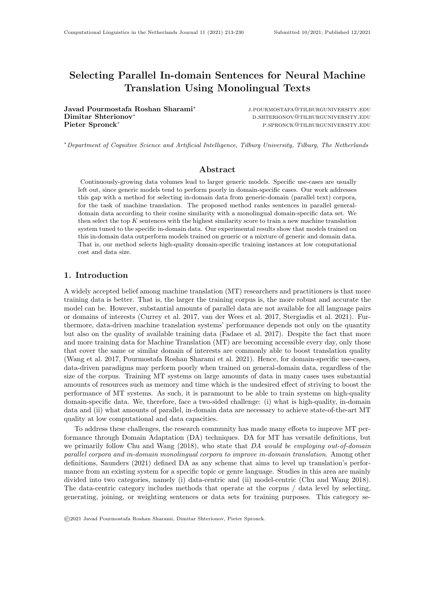# Selecting Parallel In-domain Sentences for Neural Machine Translation Using Monolingual Texts

Javad Pourmostafa Roshan Sharami<sup>∗</sup> Dimitar Shterionov<sup>∗</sup> d.shterionov<sup>∗</sup> d.shterionov©tilburguniversity.edu Pieter Spronck<sup>∗</sup>

j.pourmostafa@tilburguniversity.edu p.spronck@tilburguniversity.edu

<sup>∗</sup>Department of Cognitive Science and Artificial Intelligence, Tilburg University, Tilburg, The Netherlands

## Abstract

Continuously-growing data volumes lead to larger generic models. Specific use-cases are usually left out, since generic models tend to perform poorly in domain-specific cases. Our work addresses this gap with a method for selecting in-domain data from generic-domain (parallel text) corpora, for the task of machine translation. The proposed method ranks sentences in parallel generaldomain data according to their cosine similarity with a monolingual domain-specific data set. We then select the top K sentences with the highest similarity score to train a new machine translation system tuned to the specific in-domain data. Our experimental results show that models trained on this in-domain data outperform models trained on generic or a mixture of generic and domain data. That is, our method selects high-quality domain-specific training instances at low computational cost and data size.

# 1. Introduction

A widely accepted belief among machine translation (MT) researchers and practitioners is that more training data is better. That is, the larger the training corpus is, the more robust and accurate the model can be. However, substantial amounts of parallel data are not available for all language pairs or domains of interests (Currey et al. 2017, van der Wees et al. 2017, Stergiadis et al. 2021). Furthermore, data-driven machine translation systems' performance depends not only on the quantity but also on the quality of available training data (Fadaee et al. 2017). Despite the fact that more and more training data for Machine Translation (MT) are becoming accessible every day, only those that cover the same or similar domain of interests are commonly able to boost translation quality (Wang et al. 2017, Pourmostafa Roshan Sharami et al. 2021). Hence, for domain-specific use-cases, data-driven paradigms may perform poorly when trained on general-domain data, regardless of the size of the corpus. Training MT systems on large amounts of data in many cases uses substantial amounts of resources such as memory and time which is the undesired effect of striving to boost the performance of MT systems. As such, it is paramount to be able to train systems on high-quality domain-specific data. We, therefore, face a two-sided challenge: (i) what is high-quality, in-domain data and (ii) what amounts of parallel, in-domain data are necessary to achieve state-of-the-art MT quality at low computational and data capacities.

To address these challenges, the research community has made many efforts to improve MT performance through Domain Adaptation (DA) techniques. DA for MT has versatile definitions, but we primarily follow Chu and Wang  $(2018)$ , who state that DA would be employing out-of-domain parallel corpora and in-domain monolingual corpora to improve in-domain translation. Among other definitions, Saunders (2021) defined DA as any scheme that aims to level up translation's performance from an existing system for a specific topic or genre language. Studies in this area are mainly divided into two categories, namely (i) data-centric and (ii) model-centric (Chu and Wang 2018). The data-centric category includes methods that operate at the corpus / data level by selecting, generating, joining, or weighting sentences or data sets for training purposes. This category se-

©2021 Javad Pourmostafa Roshan Sharami, Dimitar Shterionov, Pieter Spronck.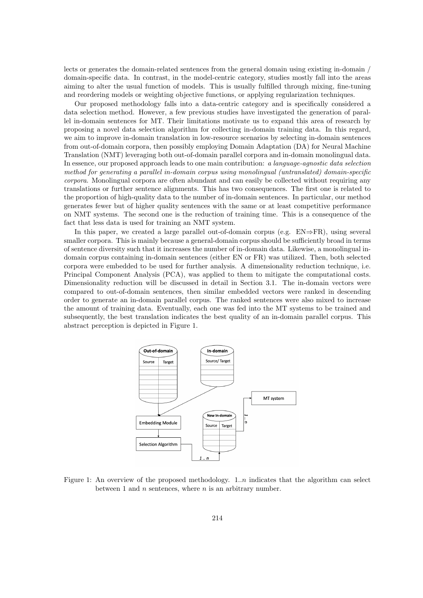lects or generates the domain-related sentences from the general domain using existing in-domain / domain-specific data. In contrast, in the model-centric category, studies mostly fall into the areas aiming to alter the usual function of models. This is usually fulfilled through mixing, fine-tuning and reordering models or weighting objective functions, or applying regularization techniques.

Our proposed methodology falls into a data-centric category and is specifically considered a data selection method. However, a few previous studies have investigated the generation of parallel in-domain sentences for MT. Their limitations motivate us to expand this area of research by proposing a novel data selection algorithm for collecting in-domain training data. In this regard, we aim to improve in-domain translation in low-resource scenarios by selecting in-domain sentences from out-of-domain corpora, then possibly employing Domain Adaptation (DA) for Neural Machine Translation (NMT) leveraging both out-of-domain parallel corpora and in-domain monolingual data. In essence, our proposed approach leads to one main contribution: a language-agnostic data selection method for generating a parallel in-domain corpus using monolingual (untranslated) domain-specific corpora. Monolingual corpora are often abundant and can easily be collected without requiring any translations or further sentence alignments. This has two consequences. The first one is related to the proportion of high-quality data to the number of in-domain sentences. In particular, our method generates fewer but of higher quality sentences with the same or at least competitive performance on NMT systems. The second one is the reduction of training time. This is a consequence of the fact that less data is used for training an NMT system.

In this paper, we created a large parallel out-of-domain corpus (e.g.  $EN \Rightarrow FR$ ), using several smaller corpora. This is mainly because a general-domain corpus should be sufficiently broad in terms of sentence diversity such that it increases the number of in-domain data. Likewise, a monolingual indomain corpus containing in-domain sentences (either EN or FR) was utilized. Then, both selected corpora were embedded to be used for further analysis. A dimensionality reduction technique, i.e. Principal Component Analysis (PCA), was applied to them to mitigate the computational costs. Dimensionality reduction will be discussed in detail in Section [3.1.](#page-3-0) The in-domain vectors were compared to out-of-domain sentences, then similar embedded vectors were ranked in descending order to generate an in-domain parallel corpus. The ranked sentences were also mixed to increase the amount of training data. Eventually, each one was fed into the MT systems to be trained and subsequently, the best translation indicates the best quality of an in-domain parallel corpus. This abstract perception is depicted in Figure [1.](#page-1-0)



<span id="page-1-0"></span>Figure 1: An overview of the proposed methodology. 1..*n* indicates that the algorithm can select between 1 and  $n$  sentences, where  $n$  is an arbitrary number.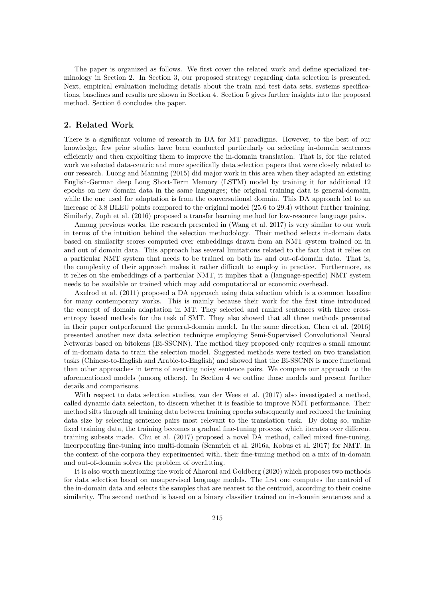The paper is organized as follows. We first cover the related work and define specialized terminology in Section [2.](#page-2-0) In Section [3,](#page-3-1) our proposed strategy regarding data selection is presented. Next, empirical evaluation including details about the train and test data sets, systems specifications, baselines and results are shown in Section [4.](#page-4-0) Section [5](#page-10-0) gives further insights into the proposed method. Section [6](#page-13-0) concludes the paper.

## <span id="page-2-0"></span>2. Related Work

There is a significant volume of research in DA for MT paradigms. However, to the best of our knowledge, few prior studies have been conducted particularly on selecting in-domain sentences efficiently and then exploiting them to improve the in-domain translation. That is, for the related work we selected data-centric and more specifically data selection papers that were closely related to our research. Luong and Manning (2015) did major work in this area when they adapted an existing English-German deep Long Short-Term Memory (LSTM) model by training it for additional 12 epochs on new domain data in the same languages; the original training data is general-domain, while the one used for adaptation is from the conversational domain. This DA approach led to an increase of 3.8 BLEU points compared to the original model (25.6 to 29.4) without further training. Similarly, Zoph et al. (2016) proposed a transfer learning method for low-resource language pairs.

Among previous works, the research presented in (Wang et al. 2017) is very similar to our work in terms of the intuition behind the selection methodology. Their method selects in-domain data based on similarity scores computed over embeddings drawn from an NMT system trained on in and out of domain data. This approach has several limitations related to the fact that it relies on a particular NMT system that needs to be trained on both in- and out-of-domain data. That is, the complexity of their approach makes it rather difficult to employ in practice. Furthermore, as it relies on the embeddings of a particular NMT, it implies that a (language-specific) NMT system needs to be available or trained which may add computational or economic overhead.

Axelrod et al. (2011) proposed a DA approach using data selection which is a common baseline for many contemporary works. This is mainly because their work for the first time introduced the concept of domain adaptation in MT. They selected and ranked sentences with three crossentropy based methods for the task of SMT. They also showed that all three methods presented in their paper outperformed the general-domain model. In the same direction, Chen et al. (2016) presented another new data selection technique employing Semi-Supervised Convolutional Neural Networks based on bitokens (Bi-SSCNN). The method they proposed only requires a small amount of in-domain data to train the selection model. Suggested methods were tested on two translation tasks (Chinese-to-English and Arabic-to-English) and showed that the Bi-SSCNN is more functional than other approaches in terms of averting noisy sentence pairs. We compare our approach to the aforementioned models (among others). In Section [4](#page-4-0) we outline those models and present further details and comparisons.

With respect to data selection studies, van der Wees et al. (2017) also investigated a method, called dynamic data selection, to discern whether it is feasible to improve NMT performance. Their method sifts through all training data between training epochs subsequently and reduced the training data size by selecting sentence pairs most relevant to the translation task. By doing so, unlike fixed training data, the training becomes a gradual fine-tuning process, which iterates over different training subsets made. Chu et al. (2017) proposed a novel DA method, called mixed fine-tuning, incorporating fine-tuning into multi-domain (Sennrich et al. 2016a, Kobus et al. 2017) for NMT. In the context of the corpora they experimented with, their fine-tuning method on a mix of in-domain and out-of-domain solves the problem of overfitting.

It is also worth mentioning the work of Aharoni and Goldberg (2020) which proposes two methods for data selection based on unsupervised language models. The first one computes the centroid of the in-domain data and selects the samples that are nearest to the centroid, according to their cosine similarity. The second method is based on a binary classifier trained on in-domain sentences and a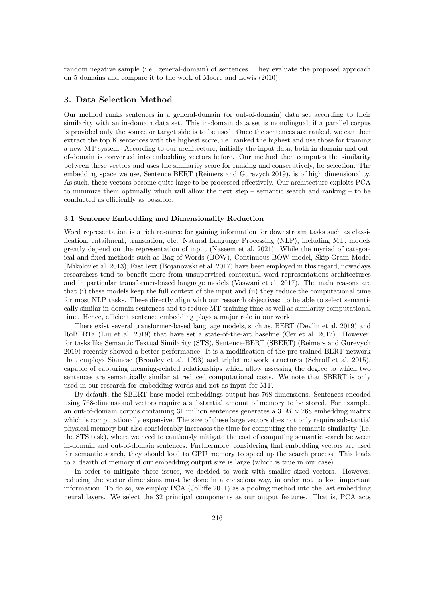random negative sample (i.e., general-domain) of sentences. They evaluate the proposed approach on 5 domains and compare it to the work of Moore and Lewis (2010).

## <span id="page-3-1"></span>3. Data Selection Method

Our method ranks sentences in a general-domain (or out-of-domain) data set according to their similarity with an in-domain data set. This in-domain data set is monolingual; if a parallel corpus is provided only the source or target side is to be used. Once the sentences are ranked, we can then extract the top K sentences with the highest score, i.e. ranked the highest and use those for training a new MT system. According to our architecture, initially the input data, both in-domain and outof-domain is converted into embedding vectors before. Our method then computes the similarity between these vectors and uses the similarity score for ranking and consecutively, for selection. The embedding space we use, Sentence BERT (Reimers and Gurevych 2019), is of high dimensionality. As such, these vectors become quite large to be processed effectively. Our architecture exploits PCA to minimize them optimally which will allow the next step – semantic search and ranking – to be conducted as efficiently as possible.

#### <span id="page-3-0"></span>3.1 Sentence Embedding and Dimensionality Reduction

Word representation is a rich resource for gaining information for downstream tasks such as classification, entailment, translation, etc. Natural Language Processing (NLP), including MT, models greatly depend on the representation of input (Naseem et al. 2021). While the myriad of categorical and fixed methods such as Bag-of-Words (BOW), Continuous BOW model, Skip-Gram Model (Mikolov et al. 2013), FastText (Bojanowski et al. 2017) have been employed in this regard, nowadays researchers tend to benefit more from unsupervised contextual word representations architectures and in particular transformer-based language models (Vaswani et al. 2017). The main reasons are that (i) these models keep the full context of the input and (ii) they reduce the computational time for most NLP tasks. These directly align with our research objectives: to be able to select semantically similar in-domain sentences and to reduce MT training time as well as similarity computational time. Hence, efficient sentence embedding plays a major role in our work.

There exist several transformer-based language models, such as, BERT (Devlin et al. 2019) and RoBERTa (Liu et al. 2019) that have set a state-of-the-art baseline (Cer et al. 2017). However, for tasks like Semantic Textual Similarity (STS), Sentence-BERT (SBERT) (Reimers and Gurevych 2019) recently showed a better performance. It is a modification of the pre-trained BERT network that employs Siamese (Bromley et al. 1993) and triplet network structures (Schroff et al. 2015), capable of capturing meaning-related relationships which allow assessing the degree to which two sentences are semantically similar at reduced computational costs. We note that SBERT is only used in our research for embedding words and not as input for MT.

By default, the SBERT base model embeddings output has 768 dimensions. Sentences encoded using 768-dimensional vectors require a substantial amount of memory to be stored. For example, an out-of-domain corpus containing 31 million sentences generates a  $31M \times 768$  embedding matrix which is computationally expensive. The size of these large vectors does not only require substantial physical memory but also considerably increases the time for computing the semantic similarity (i.e. the STS task), where we need to cautiously mitigate the cost of computing semantic search between in-domain and out-of-domain sentences. Furthermore, considering that embedding vectors are used for semantic search, they should load to GPU memory to speed up the search process. This leads to a dearth of memory if our embedding output size is large (which is true in our case).

In order to mitigate these issues, we decided to work with smaller sized vectors. However, reducing the vector dimensions must be done in a conscious way, in order not to lose important information. To do so, we employ PCA (Jolliffe 2011) as a pooling method into the last embedding neural layers. We select the 32 principal components as our output features. That is, PCA acts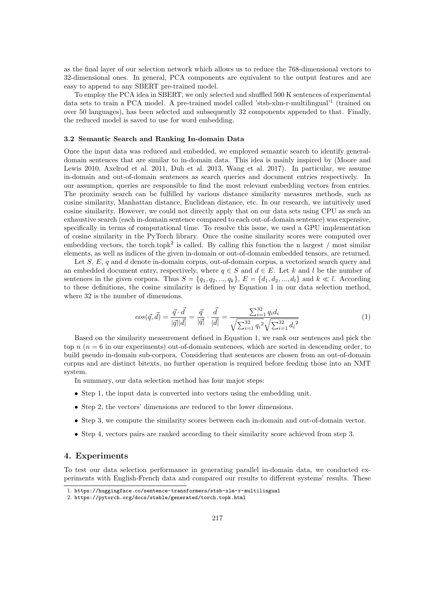as the final layer of our selection network which allows us to reduce the 768-dimensional vectors to 32-dimensional ones. In general, PCA components are equivalent to the output features and are easy to append to any SBERT pre-trained model.

To employ the PCA idea in SBERT, we only selected and shuffled 500 K sentences of experimental data sets to train a PCA model. A pre-trained model called 'stsb-xlm-r-multilingual'<sup>[1](#page-4-1)</sup> (trained on over 50 languages), has been selected and subsequently 32 components appended to that. Finally, the reduced model is saved to use for word embedding.

#### <span id="page-4-4"></span>3.2 Semantic Search and Ranking In-domain Data

Once the input data was reduced and embedded, we employed semantic search to identify generaldomain sentences that are similar to in-domain data. This idea is mainly inspired by (Moore and Lewis 2010, Axelrod et al. 2011, Duh et al. 2013, Wang et al. 2017). In particular, we assume in-domain and out-of-domain sentences as search queries and document entries respectively. In our assumption, queries are responsible to find the most relevant embedding vectors from entries. The proximity search can be fulfilled by various distance similarity measures methods, such as cosine similarity, Manhattan distance, Euclidean distance, etc. In our research, we intuitively used cosine similarity. However, we could not directly apply that on our data sets using CPU as such an exhaustive search (each in-domain sentence compared to each out-of-domain sentence) was expensive, specifically in terms of computational time. To resolve this issue, we used a GPU implementation of cosine similarity in the PyTorch library. Once the cosine similarity scores were computed over embedding vectors, the torch.topk<sup>[2](#page-4-2)</sup> is called. By calling this function the n largest / most similar elements, as well as indices of the given in-domain or out-of-domain embedded tensors, are returned.

Let  $S, E, q$  and d denote in-domain corpus, out-of-domain corpus, a vectorized search query and an embedded document entry, respectively, where  $q \in S$  and  $d \in E$ . Let k and l be the number of sentences in the given corpora. Thus  $S = \{q_1, q_2, ..., q_k\}, E = \{d_1, d_2, ..., d_l\}$  and  $k \ll l$ . According to these definitions, the cosine similarity is defined by Equation [1](#page-4-3) in our data selection method, where 32 is the number of dimensions.

$$
cos(\vec{q}, \vec{d}) = \frac{\vec{q} \cdot \vec{d}}{|\vec{q}||\vec{d}|} = \frac{\vec{q}}{|\vec{q}|} \cdot \frac{\vec{d}}{|\vec{d}|} = \frac{\sum_{i=1}^{32} q_i d_i}{\sqrt{\sum_{i=1}^{32} q_i^2} \sqrt{\sum_{i=1}^{32} d_i^2}}
$$
(1)

<span id="page-4-3"></span>Based on the similarity measurement defined in Equation [1,](#page-4-3) we rank our sentences and pick the top  $n(n = 6$  in our experiments) out-of-domain sentences, which are sorted in descending order, to build pseudo in-domain sub-corpora. Considering that sentences are chosen from an out-of-domain corpus and are distinct bitexts, no further operation is required before feeding those into an NMT system.

In summary, our data selection method has four major steps:

- Step 1, the input data is converted into vectors using the embedding unit.
- Step 2, the vectors' dimensions are reduced to the lower dimensions.
- Step 3, we compute the similarity scores between each in-domain and out-of-domain vector.
- Step 4, vectors pairs are ranked according to their similarity score achieved from step 3.

## <span id="page-4-0"></span>4. Experiments

To test our data selection performance in generating parallel in-domain data, we conducted experiments with English-French data and compared our results to different systems' results. These

<span id="page-4-1"></span><sup>1.</sup> <https://huggingface.co/sentence-transformers/stsb-xlm-r-multilingual>

<span id="page-4-2"></span><sup>2.</sup> <https://pytorch.org/docs/stable/generated/torch.topk.html>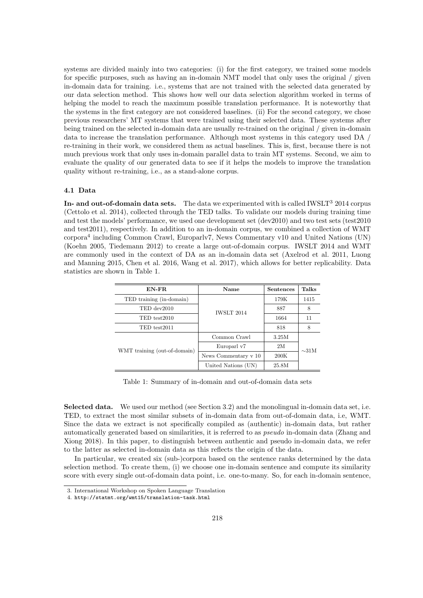systems are divided mainly into two categories: (i) for the first category, we trained some models for specific purposes, such as having an in-domain NMT model that only uses the original / given in-domain data for training. i.e., systems that are not trained with the selected data generated by our data selection method. This shows how well our data selection algorithm worked in terms of helping the model to reach the maximum possible translation performance. It is noteworthy that the systems in the first category are not considered baselines. (ii) For the second category, we chose previous researchers' MT systems that were trained using their selected data. These systems after being trained on the selected in-domain data are usually re-trained on the original / given in-domain data to increase the translation performance. Although most systems in this category used DA / re-training in their work, we considered them as actual baselines. This is, first, because there is not much previous work that only uses in-domain parallel data to train MT systems. Second, we aim to evaluate the quality of our generated data to see if it helps the models to improve the translation quality without re-training, i.e., as a stand-alone corpus.

#### <span id="page-5-3"></span>4.1 Data

In- and out-of-domain data sets. The data we experimented with is called  $\text{IWSLT}^3$  $\text{IWSLT}^3$  2014 corpus (Cettolo et al. 2014), collected through the TED talks. To validate our models during training time and test the models' performance, we used one development set (dev2010) and two test sets (test2010 and test2011), respectively. In addition to an in-domain corpus, we combined a collection of WMT corpora[4](#page-5-1) including Common Crawl, Europarlv7, News Commentary v10 and United Nations (UN) (Koehn 2005, Tiedemann 2012) to create a large out-of-domain corpus. IWSLT 2014 and WMT are commonly used in the context of DA as an in-domain data set (Axelrod et al. 2011, Luong and Manning 2015, Chen et al. 2016, Wang et al. 2017), which allows for better replicability. Data statistics are shown in Table [1.](#page-5-2)

| EN-FR                        | Name                 | Sentences | <b>Talks</b> |
|------------------------------|----------------------|-----------|--------------|
| TED training (in-domain)     |                      | 179K      | 1415         |
| TED dev2010                  | <b>IWSLT 2014</b>    | 887       | 8            |
| TED test2010                 |                      | 1664      |              |
| TED test2011                 |                      | 818       | 8            |
|                              | Common Crawl         | 3.25M     |              |
| WMT training (out-of-domain) | 2M<br>Europarl v7    |           | $\sim$ 31M   |
|                              | News Commentary v 10 | 200K      |              |
|                              | United Nations (UN)  | 25.8M     |              |

<span id="page-5-2"></span>Table 1: Summary of in-domain and out-of-domain data sets

Selected data. We used our method (see Section [3.2\)](#page-4-4) and the monolingual in-domain data set, i.e. TED, to extract the most similar subsets of in-domain data from out-of-domain data, i.e, WMT. Since the data we extract is not specifically compiled as (authentic) in-domain data, but rather automatically generated based on similarities, it is referred to as pseudo in-domain data (Zhang and Xiong 2018). In this paper, to distinguish between authentic and pseudo in-domain data, we refer to the latter as selected in-domain data as this reflects the origin of the data.

In particular, we created six (sub-)corpora based on the sentence ranks determined by the data selection method. To create them, (i) we choose one in-domain sentence and compute its similarity score with every single out-of-domain data point, i.e. one-to-many. So, for each in-domain sentence,

<span id="page-5-0"></span><sup>3.</sup> International Workshop on Spoken Language Translation

<span id="page-5-1"></span><sup>4.</sup> <http://statmt.org/wmt15/translation-task.html>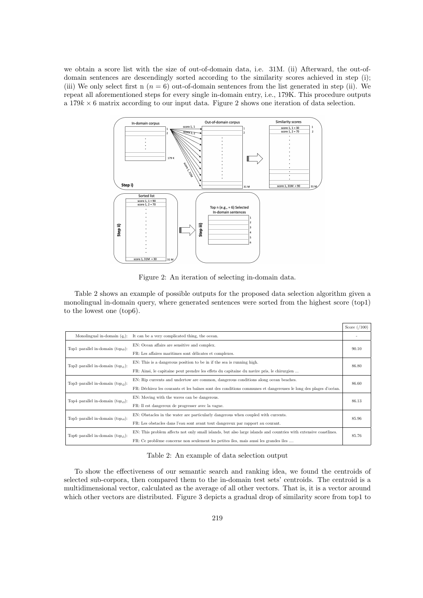we obtain a score list with the size of out-of-domain data, i.e. 31M. (ii) Afterward, the out-ofdomain sentences are descendingly sorted according to the similarity scores achieved in step (i); (iii) We only select first n  $(n = 6)$  out-of-domain sentences from the list generated in step (ii). We repeat all aforementioned steps for every single in-domain entry, i.e., 179K. This procedure outputs a  $179k \times 6$  matrix according to our input data. Figure [2](#page-6-0) shows one iteration of data selection.



<span id="page-6-0"></span>Figure 2: An iteration of selecting in-domain data.

Table [2](#page-6-1) shows an example of possible outputs for the proposed data selection algorithm given a monolingual in-domain query, where generated sentences were sorted from the highest score (top1) to the lowest one (top6).

|                                        |                                                                                                                  | Score $(7100)$ |
|----------------------------------------|------------------------------------------------------------------------------------------------------------------|----------------|
| Monolingual in-domain $(q_i)$ :        | It can be a very complicated thing, the ocean.                                                                   |                |
| Top1-parallel in-domain $(top_{i0})$ : | EN: Ocean affairs are sensitive and complex.                                                                     |                |
|                                        | FR: Les affaires maritimes sont délicates et complexes.                                                          | 90.10          |
| Top2-parallel in-domain $(top_{i1})$ : | EN: This is a dangerous position to be in if the sea is running high.                                            | 86.80          |
|                                        | FR: Ainsi, le capitaine peut prendre les effets du capitaine du navire pris, le chirurgien                       |                |
| Top3-parallel in-domain $(top_{i2})$ : | EN: Rip currents and undertow are common, dangerous conditions along ocean beaches.                              |                |
|                                        | FR: Déchirez les courants et les baïnes sont des conditions communes et dangereuses le long des plages d'océan.  | 86.60          |
| Top4-parallel in-domain $(top_{i3})$ : | EN: Moving with the waves can be dangerous.                                                                      | 86.13          |
|                                        | FR: Il est dangereux de progresser avec la vague.                                                                |                |
| Top5-parallel in-domain $(top_{i4})$ : | EN: Obstacles in the water are particularly dangerous when coupled with currents.                                | 85.96          |
|                                        | FR: Les obstacles dans l'eau sont avant tout dangereux par rapport au courant.                                   |                |
| Top6-parallel in-domain $(top_{i5})$ : | EN: This problem affects not only small islands, but also large islands and countries with extensive coastlines. |                |
|                                        | FR: Ce problème concerne non seulement les petites îles, mais aussi les grandes îles                             | 85.76          |

<span id="page-6-1"></span>Table 2: An example of data selection output

To show the effectiveness of our semantic search and ranking idea, we found the centroids of selected sub-corpora, then compared them to the in-domain test sets' centroids. The centroid is a multidimensional vector, calculated as the average of all other vectors. That is, it is a vector around which other vectors are distributed. Figure [3](#page-7-0) depicts a gradual drop of similarity score from top1 to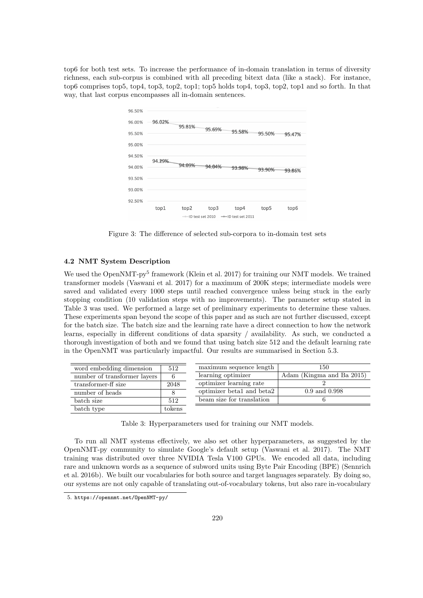top6 for both test sets. To increase the performance of in-domain translation in terms of diversity richness, each sub-corpus is combined with all preceding bitext data (like a stack). For instance, top6 comprises top5, top4, top3, top2, top1; top5 holds top4, top3, top2, top1 and so forth. In that way, that last corpus encompasses all in-domain sentences.



<span id="page-7-0"></span>Figure 3: The difference of selected sub-corpora to in-domain test sets

## 4.2 NMT System Description

We used the OpenNMT-py<sup>[5](#page-7-1)</sup> framework (Klein et al. 2017) for training our NMT models. We trained transformer models (Vaswani et al. 2017) for a maximum of 200K steps; intermediate models were saved and validated every 1000 steps until reached convergence unless being stuck in the early stopping condition (10 validation steps with no improvements). The parameter setup stated in Table [3](#page-7-2) was used. We performed a large set of preliminary experiments to determine these values. These experiments span beyond the scope of this paper and as such are not further discussed, except for the batch size. The batch size and the learning rate have a direct connection to how the network learns, especially in different conditions of data sparsity / availability. As such, we conducted a thorough investigation of both and we found that using batch size 512 and the default learning rate in the OpenNMT was particularly impactful. Our results are summarised in Section [5.3.](#page-11-0)

| word embedding dimension     | 512    | maximum sequence length   | 150                       |
|------------------------------|--------|---------------------------|---------------------------|
| number of transformer layers | 6      | learning optimizer        | Adam (Kingma and Ba 2015) |
| transformer-ff size          | 2048   | optimizer learning rate   |                           |
| number of heads              | 8      | optimizer beta1 and beta2 | $0.9$ and $0.998$         |
| batch size                   | 512    | beam size for translation |                           |
| batch type                   | tokens |                           |                           |

<span id="page-7-2"></span>Table 3: Hyperparameters used for training our NMT models.

To run all NMT systems effectively, we also set other hyperparameters, as suggested by the OpenNMT-py community to simulate Google's default setup (Vaswani et al. 2017). The NMT training was distributed over three NVIDIA Tesla V100 GPUs. We encoded all data, including rare and unknown words as a sequence of subword units using Byte Pair Encoding (BPE) (Sennrich et al. 2016b). We built our vocabularies for both source and target languages separately. By doing so, our systems are not only capable of translating out-of-vocabulary tokens, but also rare in-vocabulary

<span id="page-7-1"></span><sup>5.</sup> <https://opennmt.net/OpenNMT-py/>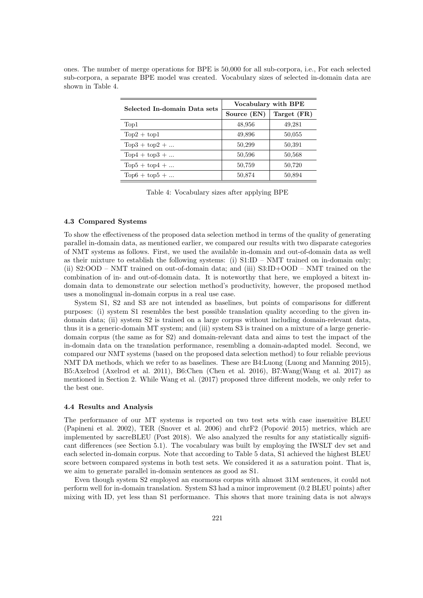| Selected In-domain Data sets | Vocabulary with BPE |             |  |  |
|------------------------------|---------------------|-------------|--|--|
|                              | Source (EN)         | Target (FR) |  |  |
| Top1                         | 48,956              | 49,281      |  |  |
| $Top2 + top1$                | 49,896              | 50,055      |  |  |
| $Top3 + top2 + $             | 50,299              | 50,391      |  |  |
| $Top4 + top3 + $             | 50,596              | 50,568      |  |  |
| $Top5 + top4 + $             | 50,759              | 50,720      |  |  |
| $Top6 + top5 + $             | 50,874              | 50,894      |  |  |

ones. The number of merge operations for BPE is 50,000 for all sub-corpora, i.e., For each selected sub-corpora, a separate BPE model was created. Vocabulary sizes of selected in-domain data are shown in Table [4.](#page-8-0)

<span id="page-8-0"></span>Table 4: Vocabulary sizes after applying BPE

#### 4.3 Compared Systems

To show the effectiveness of the proposed data selection method in terms of the quality of generating parallel in-domain data, as mentioned earlier, we compared our results with two disparate categories of NMT systems as follows. First, we used the available in-domain and out-of-domain data as well as their mixture to establish the following systems: (i)  $S1:ID - NMT$  trained on in-domain only; (ii) S2:OOD – NMT trained on out-of-domain data; and (iii) S3:ID+OOD – NMT trained on the combination of in- and out-of-domain data. It is noteworthy that here, we employed a bitext indomain data to demonstrate our selection method's productivity, however, the proposed method uses a monolingual in-domain corpus in a real use case.

System S1, S2 and S3 are not intended as baselines, but points of comparisons for different purposes: (i) system S1 resembles the best possible translation quality according to the given indomain data; (ii) system S2 is trained on a large corpus without including domain-relevant data, thus it is a generic-domain MT system; and (iii) system S3 is trained on a mixture of a large genericdomain corpus (the same as for S2) and domain-relevant data and aims to test the impact of the in-domain data on the translation performance, resembling a domain-adapted model. Second, we compared our NMT systems (based on the proposed data selection method) to four reliable previous NMT DA methods, which we refer to as baselines. These are B4:Luong (Luong and Manning 2015), B5:Axelrod (Axelrod et al. 2011), B6:Chen (Chen et al. 2016), B7:Wang(Wang et al. 2017) as mentioned in Section [2.](#page-2-0) While Wang et al. (2017) proposed three different models, we only refer to the best one.

#### <span id="page-8-1"></span>4.4 Results and Analysis

The performance of our MT systems is reported on two test sets with case insensitive BLEU (Papineni et al. 2002), TER (Snover et al. 2006) and chrF2 (Popović 2015) metrics, which are implemented by sacreBLEU (Post 2018). We also analyzed the results for any statistically significant differences (see Section [5.1\)](#page-10-1). The vocabulary was built by employing the IWSLT dev set and each selected in-domain corpus. Note that according to Table [5](#page-9-0) data, S1 achieved the highest BLEU score between compared systems in both test sets. We considered it as a saturation point. That is, we aim to generate parallel in-domain sentences as good as S1.

Even though system S2 employed an enormous corpus with almost 31M sentences, it could not perform well for in-domain translation. System S3 had a minor improvement (0.2 BLEU points) after mixing with ID, yet less than S1 performance. This shows that more training data is not always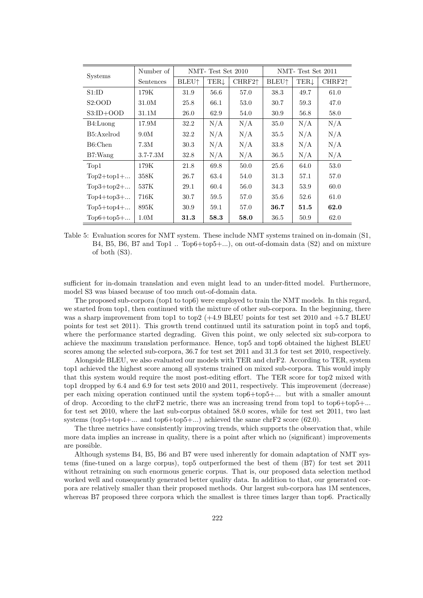| <b>Systems</b> | Number of    |                          | NMT-Test Set 2010 |                    |                          | NMT-Test Set 2011 |                    |  |
|----------------|--------------|--------------------------|-------------------|--------------------|--------------------------|-------------------|--------------------|--|
|                | Sentences    | <b>BLEU</b> <sup>+</sup> | TERJ              | CHRF2 <sup>+</sup> | <b>BLEU</b> <sup>1</sup> | TERĮ              | CHRF2 <sup>↑</sup> |  |
| S1:ID          | 179K         | 31.9                     | 56.6              | 57.0               | 38.3                     | 49.7              | 61.0               |  |
| S2:OOD         | 31.0M        | 25.8                     | 66.1              | 53.0               | 30.7                     | 59.3              | 47.0               |  |
| $S3:ID+OOD$    | 31.1M        | 26.0                     | 62.9              | 54.0               | 30.9                     | 56.8              | 58.0               |  |
| B4:            | 17.9M        | 32.2                     | N/A               | N/A                | 35.0                     | N/A               | N/A                |  |
| B5: Axelrod    | 9.0M         | 32.2                     | N/A               | N/A                | 35.5                     | N/A               | N/A                |  |
| B6:Chen        | 7.3M         | 30.3                     | N/A               | N/A                | 33.8                     | N/A               | N/A                |  |
| B7: Wang       | $3.7 - 7.3M$ | 32.8                     | N/A               | N/A                | 36.5                     | N/A               | N/A                |  |
| Top1           | 179K         | 21.8                     | 69.8              | 50.0               | 25.6                     | 64.0              | 53.0               |  |
| $Top2+top1+$   | 358K         | 26.7                     | 63.4              | 54.0               | 31.3                     | 57.1              | 57.0               |  |
| $Top3+top2+$   | 537K         | 29.1                     | 60.4              | 56.0               | 34.3                     | 53.9              | 60.0               |  |
| $Top4+top3+$   | 716K         | 30.7                     | 59.5              | 57.0               | 35.6                     | 52.6              | 61.0               |  |
| $Top5+top4+$   | 895K         | 30.9                     | 59.1              | 57.0               | 36.7                     | 51.5              | 62.0               |  |
| $Top6+top5+$   | 1.0M         | 31.3                     | 58.3              | 58.0               | 36.5                     | 50.9              | 62.0               |  |

<span id="page-9-0"></span>Table 5: Evaluation scores for NMT system. These include NMT systems trained on in-domain (S1, B4, B5, B6, B7 and Top1 .. Top6+top5+...), on out-of-domain data (S2) and on mixture of both (S3).

sufficient for in-domain translation and even might lead to an under-fitted model. Furthermore, model S3 was biased because of too much out-of-domain data.

The proposed sub-corpora (top1 to top6) were employed to train the NMT models. In this regard, we started from top1, then continued with the mixture of other sub-corpora. In the beginning, there was a sharp improvement from top1 to top2  $(+4.9$  BLEU points for test set 2010 and  $+5.7$  BLEU points for test set 2011). This growth trend continued until its saturation point in top5 and top6, where the performance started degrading. Given this point, we only selected six sub-corpora to achieve the maximum translation performance. Hence, top5 and top6 obtained the highest BLEU scores among the selected sub-corpora, 36.7 for test set 2011 and 31.3 for test set 2010, respectively.

Alongside BLEU, we also evaluated our models with TER and chrF2. According to TER, system top1 achieved the highest score among all systems trained on mixed sub-corpora. This would imply that this system would require the most post-editing effort. The TER score for top2 mixed with top1 dropped by 6.4 and 6.9 for test sets 2010 and 2011, respectively. This improvement (decrease) per each mixing operation continued until the system top6+top5+... but with a smaller amount of drop. According to the chrF2 metric, there was an increasing trend from top1 to top6+top5+... for test set 2010, where the last sub-corpus obtained 58.0 scores, while for test set 2011, two last systems (top5+top4+ $\dots$  and top6+top5+ $\dots$ ) achieved the same chrF2 score (62.0).

The three metrics have consistently improving trends, which supports the observation that, while more data implies an increase in quality, there is a point after which no (significant) improvements are possible.

Although systems B4, B5, B6 and B7 were used inherently for domain adaptation of NMT systems (fine-tuned on a large corpus), top5 outperformed the best of them (B7) for test set 2011 without retraining on such enormous generic corpus. That is, our proposed data selection method worked well and consequently generated better quality data. In addition to that, our generated corpora are relatively smaller than their proposed methods. Our largest sub-corpora has 1M sentences, whereas B7 proposed three corpora which the smallest is three times larger than top6. Practically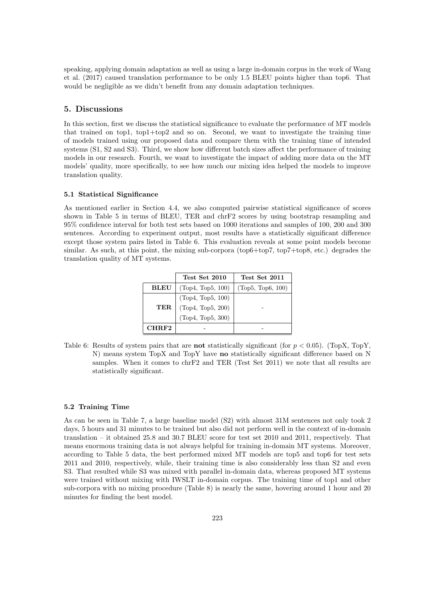speaking, applying domain adaptation as well as using a large in-domain corpus in the work of Wang et al. (2017) caused translation performance to be only 1.5 BLEU points higher than top6. That would be negligible as we didn't benefit from any domain adaptation techniques.

## <span id="page-10-0"></span>5. Discussions

In this section, first we discuss the statistical significance to evaluate the performance of MT models that trained on top1, top1+top2 and so on. Second, we want to investigate the training time of models trained using our proposed data and compare them with the training time of intended systems (S1, S2 and S3). Third, we show how different batch sizes affect the performance of training models in our research. Fourth, we want to investigate the impact of adding more data on the MT models' quality, more specifically, to see how much our mixing idea helped the models to improve translation quality.

#### <span id="page-10-1"></span>5.1 Statistical Significance

As mentioned earlier in Section [4.4,](#page-8-1) we also computed pairwise statistical significance of scores shown in Table [5](#page-9-0) in terms of BLEU, TER and chrF2 scores by using bootstrap resampling and 95% confidence interval for both test sets based on 1000 iterations and samples of 100, 200 and 300 sentences. According to experiment output, most results have a statistically significant difference except those system pairs listed in Table [6.](#page-10-2) This evaluation reveals at some point models become similar. As such, at this point, the mixing sub-corpora (top6+top7, top7+top8, etc.) degrades the translation quality of MT systems.

|             | Test Set 2010     | Test Set 2011     |
|-------------|-------------------|-------------------|
| <b>BLEU</b> | (Top4, Top5, 100) | (Top5, Top6, 100) |
|             | (Top4, Top5, 100) |                   |
| TER.        | (Top4, Top5, 200) |                   |
|             | (Top4, Top5, 300) |                   |
| CHRF2       |                   |                   |

<span id="page-10-2"></span>Table 6: Results of system pairs that are **not** statistically significant (for  $p < 0.05$ ). (TopX, TopY, N) means system TopX and TopY have no statistically significant difference based on N samples. When it comes to chrF2 and TER (Test Set 2011) we note that all results are statistically significant.

## 5.2 Training Time

As can be seen in Table [7,](#page-11-1) a large baseline model (S2) with almost 31M sentences not only took 2 days, 5 hours and 31 minutes to be trained but also did not perform well in the context of in-domain translation – it obtained 25.8 and 30.7 BLEU score for test set 2010 and 2011, respectively. That means enormous training data is not always helpful for training in-domain MT systems. Moreover, according to Table [5](#page-9-0) data, the best performed mixed MT models are top5 and top6 for test sets 2011 and 2010, respectively, while, their training time is also considerably less than S2 and even S3. That resulted while S3 was mixed with parallel in-domain data, whereas proposed MT systems were trained without mixing with IWSLT in-domain corpus. The training time of top1 and other sub-corpora with no mixing procedure (Table [8\)](#page-12-0) is nearly the same, hovering around 1 hour and 20 minutes for finding the best model.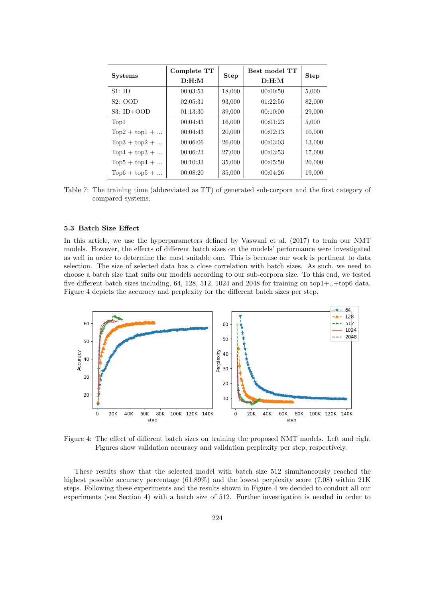| <b>Systems</b>   | Complete TT | <b>Step</b> | Best model TT | <b>Step</b> |  |
|------------------|-------------|-------------|---------------|-------------|--|
|                  | D: H: M     |             | D: H: M       |             |  |
| S1:ID            | 00:03:53    | 18,000      | 00:00:50      | 5,000       |  |
| S2:OOD           | 02:05:31    | 93,000      | 01:22:56      | 82,000      |  |
| $S3: ID+OOD$     | 01:13:30    | 39,000      | 00:10:00      | 29,000      |  |
| Top1             | 00:04:43    | 16,000      | 00:01:23      | 5,000       |  |
| $Top2 + top1 + $ | 00:04:43    | 20,000      | 00:02:13      | 10,000      |  |
| $Top3 + top2 + $ | 00:06:06    | 26,000      | 00:03:03      | 13,000      |  |
| $Top4 + top3 + $ | 00:06:23    | 27,000      | 00:03:53      | 17,000      |  |
| $Top5 + top4 + $ | 00:10:33    | 35,000      | 00:05:50      | 20,000      |  |
| $Top6 + top5 + $ | 00:08:20    | 35,000      | 00:04:26      | 19,000      |  |

<span id="page-11-1"></span>Table 7: The training time (abbreviated as TT) of generated sub-corpora and the first category of compared systems.

## <span id="page-11-0"></span>5.3 Batch Size Effect

In this article, we use the hyperparameters defined by Vaswani et al. (2017) to train our NMT models. However, the effects of different batch sizes on the models' performance were investigated as well in order to determine the most suitable one. This is because our work is pertinent to data selection. The size of selected data has a close correlation with batch sizes. As such, we need to choose a batch size that suits our models according to our sub-corpora size. To this end, we tested five different batch sizes including, 64, 128, 512, 1024 and 2048 for training on top1+..+top6 data. Figure [4](#page-11-2) depicts the accuracy and perplexity for the different batch sizes per step.



<span id="page-11-2"></span>Figure 4: The effect of different batch sizes on training the proposed NMT models. Left and right Figures show validation accuracy and validation perplexity per step, respectively.

These results show that the selected model with batch size 512 simultaneously reached the highest possible accuracy percentage (61.89%) and the lowest perplexity score (7.08) within 21K steps. Following these experiments and the results shown in Figure [4](#page-11-2) we decided to conduct all our experiments (see Section [4\)](#page-4-0) with a batch size of 512. Further investigation is needed in order to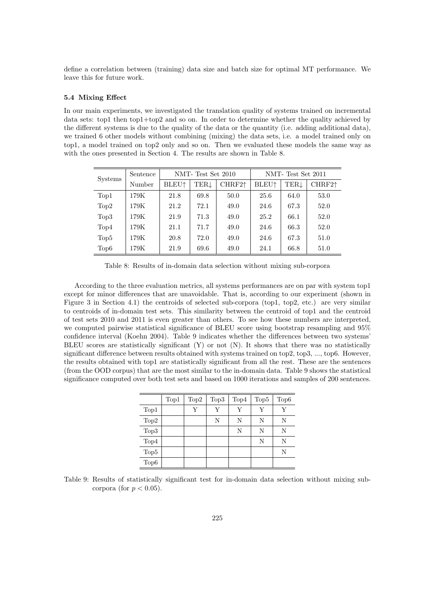define a correlation between (training) data size and batch size for optimal MT performance. We leave this for future work.

### 5.4 Mixing Effect

In our main experiments, we investigated the translation quality of systems trained on incremental data sets: top1 then top1+top2 and so on. In order to determine whether the quality achieved by the different systems is due to the quality of the data or the quantity (i.e. adding additional data), we trained 6 other models without combining (mixing) the data sets, i.e. a model trained only on top1, a model trained on top2 only and so on. Then we evaluated these models the same way as with the ones presented in Section [4.](#page-4-0) The results are shown in Table [8.](#page-12-0)

| <b>Systems</b>   | Sentence | NMT-Test Set 2010        |      |                               |                          | NMT-Test Set 2011 |                    |  |
|------------------|----------|--------------------------|------|-------------------------------|--------------------------|-------------------|--------------------|--|
|                  | Number   | <b>BLEU</b> <sup>+</sup> | TERĮ | $\mathrm{CHRF2} \!\!\uparrow$ | <b>BLEU</b> <sup>+</sup> | <b>TER</b> .      | CHRF2 <sup>+</sup> |  |
| Top1             | 179K     | 21.8                     | 69.8 | 50.0                          | 25.6                     | 64.0              | 53.0               |  |
| Top2             | 179K     | 21.2                     | 72.1 | 49.0                          | 24.6                     | 67.3              | 52.0               |  |
| Top <sub>3</sub> | 179K     | 21.9                     | 71.3 | 49.0                          | 25.2                     | 66.1              | 52.0               |  |
| Top4             | 179K     | 21.1                     | 71.7 | 49.0                          | 24.6                     | 66.3              | 52.0               |  |
| Top <sub>5</sub> | 179K     | 20.8                     | 72.0 | 49.0                          | 24.6                     | 67.3              | 51.0               |  |
| Top6             | 179K     | 21.9                     | 69.6 | 49.0                          | 24.1                     | 66.8              | 51.0               |  |

<span id="page-12-0"></span>Table 8: Results of in-domain data selection without mixing sub-corpora

According to the three evaluation metrics, all systems performances are on par with system top1 except for minor differences that are unavoidable. That is, according to our experiment (shown in Figure [3](#page-7-0) in Section [4.1\)](#page-5-3) the centroids of selected sub-corpora (top1, top2, etc.) are very similar to centroids of in-domain test sets. This similarity between the centroid of top1 and the centroid of test sets 2010 and 2011 is even greater than others. To see how these numbers are interpreted, we computed pairwise statistical significance of BLEU score using bootstrap resampling and 95% confidence interval (Koehn 2004). Table [9](#page-12-1) indicates whether the differences between two systems' BLEU scores are statistically significant (Y) or not (N). It shows that there was no statistically significant difference between results obtained with systems trained on top2, top3, ..., top6. However, the results obtained with top1 are statistically significant from all the rest. These are the sentences (from the OOD corpus) that are the most similar to the in-domain data. Table [9](#page-12-1) shows the statistical significance computed over both test sets and based on 1000 iterations and samples of 200 sentences.

|                  | Top1 | Top2 | Top3 | Top4 | Top <sub>5</sub> | Top6 |
|------------------|------|------|------|------|------------------|------|
| Top1             |      | Y    | Y    | Y    | Y                | Y    |
| Top2             |      |      | Ν    | N    | N                | Ν    |
| Top3             |      |      |      | N    | N                | N    |
| Top4             |      |      |      |      | N                | N    |
| Top <sub>5</sub> |      |      |      |      |                  | N    |
| Top6             |      |      |      |      |                  |      |

<span id="page-12-1"></span>Table 9: Results of statistically significant test for in-domain data selection without mixing subcorpora (for  $p < 0.05$ ).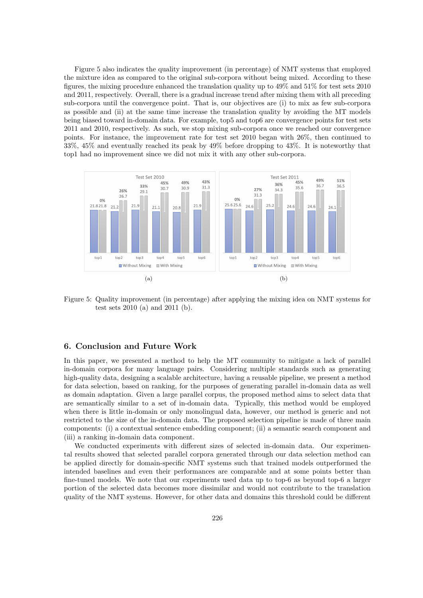Figure [5](#page-13-1) also indicates the quality improvement (in percentage) of NMT systems that employed the mixture idea as compared to the original sub-corpora without being mixed. According to these figures, the mixing procedure enhanced the translation quality up to 49% and 51% for test sets 2010 and 2011, respectively. Overall, there is a gradual increase trend after mixing them with all preceding sub-corpora until the convergence point. That is, our objectives are (i) to mix as few sub-corpora as possible and (ii) at the same time increase the translation quality by avoiding the MT models being biased toward in-domain data. For example, top5 and top6 are convergence points for test sets 2011 and 2010, respectively. As such, we stop mixing sub-corpora once we reached our convergence points. For instance, the improvement rate for test set 2010 began with 26%, then continued to 33%, 45% and eventually reached its peak by 49% before dropping to 43%. It is noteworthy that top1 had no improvement since we did not mix it with any other sub-corpora.



<span id="page-13-1"></span>Figure 5: Quality improvement (in percentage) after applying the mixing idea on NMT systems for test sets 2010 (a) and 2011 (b).

## <span id="page-13-0"></span>6. Conclusion and Future Work

In this paper, we presented a method to help the MT community to mitigate a lack of parallel in-domain corpora for many language pairs. Considering multiple standards such as generating high-quality data, designing a scalable architecture, having a reusable pipeline, we present a method for data selection, based on ranking, for the purposes of generating parallel in-domain data as well as domain adaptation. Given a large parallel corpus, the proposed method aims to select data that are semantically similar to a set of in-domain data. Typically, this method would be employed when there is little in-domain or only monolingual data, however, our method is generic and not restricted to the size of the in-domain data. The proposed selection pipeline is made of three main components: (i) a contextual sentence embedding component; (ii) a semantic search component and (iii) a ranking in-domain data component.

We conducted experiments with different sizes of selected in-domain data. Our experimental results showed that selected parallel corpora generated through our data selection method can be applied directly for domain-specific NMT systems such that trained models outperformed the intended baselines and even their performances are comparable and at some points better than fine-tuned models. We note that our experiments used data up to top-6 as beyond top-6 a larger portion of the selected data becomes more dissimilar and would not contribute to the translation quality of the NMT systems. However, for other data and domains this threshold could be different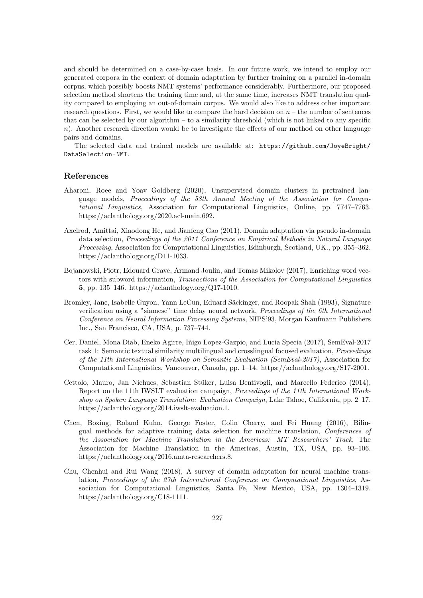and should be determined on a case-by-case basis. In our future work, we intend to employ our generated corpora in the context of domain adaptation by further training on a parallel in-domain corpus, which possibly boosts NMT systems' performance considerably. Furthermore, our proposed selection method shortens the training time and, at the same time, increases NMT translation quality compared to employing an out-of-domain corpus. We would also like to address other important research questions. First, we would like to compare the hard decision on  $n -$  the number of sentences that can be selected by our algorithm – to a similarity threshold (which is not linked to any specific  $n$ ). Another research direction would be to investigate the effects of our method on other language pairs and domains.

The selected data and trained models are available at: [https://github.com/JoyeBright/](https://github.com/JoyeBright/DataSelection-NMT) [DataSelection-NMT](https://github.com/JoyeBright/DataSelection-NMT).

## References

- Aharoni, Roee and Yoav Goldberg (2020), Unsupervised domain clusters in pretrained language models, Proceedings of the 58th Annual Meeting of the Association for Computational Linguistics, Association for Computational Linguistics, Online, pp. 7747–7763. https://aclanthology.org/2020.acl-main.692.
- Axelrod, Amittai, Xiaodong He, and Jianfeng Gao (2011), Domain adaptation via pseudo in-domain data selection, Proceedings of the 2011 Conference on Empirical Methods in Natural Language Processing, Association for Computational Linguistics, Edinburgh, Scotland, UK., pp. 355–362. https://aclanthology.org/D11-1033.
- Bojanowski, Piotr, Edouard Grave, Armand Joulin, and Tomas Mikolov (2017), Enriching word vectors with subword information, Transactions of the Association for Computational Linguistics 5, pp. 135–146. https://aclanthology.org/Q17-1010.
- Bromley, Jane, Isabelle Guyon, Yann LeCun, Eduard Säckinger, and Roopak Shah (1993), Signature verification using a "siamese" time delay neural network, Proceedings of the 6th International Conference on Neural Information Processing Systems, NIPS'93, Morgan Kaufmann Publishers Inc., San Francisco, CA, USA, p. 737–744.
- Cer, Daniel, Mona Diab, Eneko Agirre, I˜nigo Lopez-Gazpio, and Lucia Specia (2017), SemEval-2017 task 1: Semantic textual similarity multilingual and crosslingual focused evaluation, Proceedings of the 11th International Workshop on Semantic Evaluation (SemEval-2017), Association for Computational Linguistics, Vancouver, Canada, pp. 1–14. https://aclanthology.org/S17-2001.
- Cettolo, Mauro, Jan Niehues, Sebastian Stüker, Luisa Bentivogli, and Marcello Federico (2014), Report on the 11th IWSLT evaluation campaign, Proceedings of the 11th International Workshop on Spoken Language Translation: Evaluation Campaign, Lake Tahoe, California, pp. 2–17. https://aclanthology.org/2014.iwslt-evaluation.1.
- Chen, Boxing, Roland Kuhn, George Foster, Colin Cherry, and Fei Huang (2016), Bilingual methods for adaptive training data selection for machine translation, Conferences of the Association for Machine Translation in the Americas: MT Researchers' Track, The Association for Machine Translation in the Americas, Austin, TX, USA, pp. 93–106. https://aclanthology.org/2016.amta-researchers.8.
- Chu, Chenhui and Rui Wang (2018), A survey of domain adaptation for neural machine translation, Proceedings of the 27th International Conference on Computational Linguistics, Association for Computational Linguistics, Santa Fe, New Mexico, USA, pp. 1304–1319. https://aclanthology.org/C18-1111.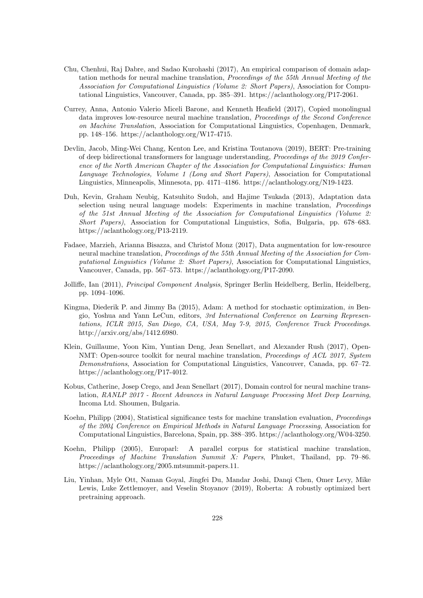- Chu, Chenhui, Raj Dabre, and Sadao Kurohashi (2017), An empirical comparison of domain adaptation methods for neural machine translation, Proceedings of the 55th Annual Meeting of the Association for Computational Linguistics (Volume 2: Short Papers), Association for Computational Linguistics, Vancouver, Canada, pp. 385–391. https://aclanthology.org/P17-2061.
- Currey, Anna, Antonio Valerio Miceli Barone, and Kenneth Heafield (2017), Copied monolingual data improves low-resource neural machine translation, Proceedings of the Second Conference on Machine Translation, Association for Computational Linguistics, Copenhagen, Denmark, pp. 148–156. https://aclanthology.org/W17-4715.
- Devlin, Jacob, Ming-Wei Chang, Kenton Lee, and Kristina Toutanova (2019), BERT: Pre-training of deep bidirectional transformers for language understanding, Proceedings of the 2019 Conference of the North American Chapter of the Association for Computational Linguistics: Human Language Technologies, Volume 1 (Long and Short Papers), Association for Computational Linguistics, Minneapolis, Minnesota, pp. 4171–4186. https://aclanthology.org/N19-1423.
- Duh, Kevin, Graham Neubig, Katsuhito Sudoh, and Hajime Tsukada (2013), Adaptation data selection using neural language models: Experiments in machine translation, Proceedings of the 51st Annual Meeting of the Association for Computational Linguistics (Volume 2: Short Papers), Association for Computational Linguistics, Sofia, Bulgaria, pp. 678–683. https://aclanthology.org/P13-2119.
- Fadaee, Marzieh, Arianna Bisazza, and Christof Monz (2017), Data augmentation for low-resource neural machine translation, Proceedings of the 55th Annual Meeting of the Association for Computational Linguistics (Volume 2: Short Papers), Association for Computational Linguistics, Vancouver, Canada, pp. 567–573. https://aclanthology.org/P17-2090.
- Jolliffe, Ian (2011), Principal Component Analysis, Springer Berlin Heidelberg, Berlin, Heidelberg, pp. 1094–1096.
- Kingma, Diederik P. and Jimmy Ba (2015), Adam: A method for stochastic optimization, in Bengio, Yoshua and Yann LeCun, editors, 3rd International Conference on Learning Representations, ICLR 2015, San Diego, CA, USA, May 7-9, 2015, Conference Track Proceedings. http://arxiv.org/abs/1412.6980.
- Klein, Guillaume, Yoon Kim, Yuntian Deng, Jean Senellart, and Alexander Rush (2017), Open-NMT: Open-source toolkit for neural machine translation, *Proceedings of ACL 2017, System* Demonstrations, Association for Computational Linguistics, Vancouver, Canada, pp. 67–72. https://aclanthology.org/P17-4012.
- Kobus, Catherine, Josep Crego, and Jean Senellart (2017), Domain control for neural machine translation, RANLP 2017 - Recent Advances in Natural Language Processing Meet Deep Learning, Incoma Ltd. Shoumen, Bulgaria.
- Koehn, Philipp (2004), Statistical significance tests for machine translation evaluation, Proceedings of the 2004 Conference on Empirical Methods in Natural Language Processing, Association for Computational Linguistics, Barcelona, Spain, pp. 388–395. https://aclanthology.org/W04-3250.
- Koehn, Philipp (2005), Europarl: A parallel corpus for statistical machine translation, Proceedings of Machine Translation Summit X: Papers, Phuket, Thailand, pp. 79–86. https://aclanthology.org/2005.mtsummit-papers.11.
- Liu, Yinhan, Myle Ott, Naman Goyal, Jingfei Du, Mandar Joshi, Danqi Chen, Omer Levy, Mike Lewis, Luke Zettlemoyer, and Veselin Stoyanov (2019), Roberta: A robustly optimized bert pretraining approach.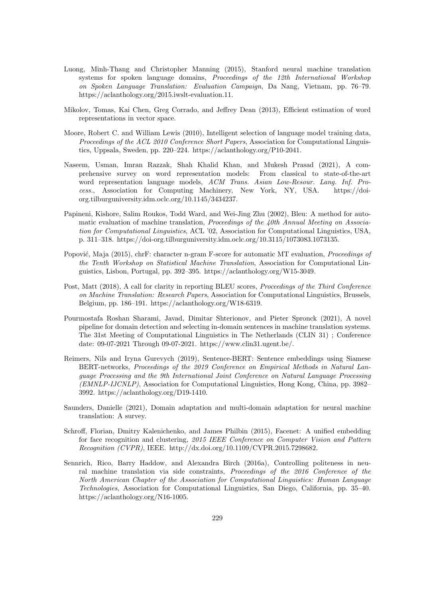- Luong, Minh-Thang and Christopher Manning (2015), Stanford neural machine translation systems for spoken language domains, *Proceedings of the 12th International Workshop* on Spoken Language Translation: Evaluation Campaign, Da Nang, Vietnam, pp. 76–79. https://aclanthology.org/2015.iwslt-evaluation.11.
- Mikolov, Tomas, Kai Chen, Greg Corrado, and Jeffrey Dean (2013), Efficient estimation of word representations in vector space.
- Moore, Robert C. and William Lewis (2010), Intelligent selection of language model training data, Proceedings of the ACL 2010 Conference Short Papers, Association for Computational Linguistics, Uppsala, Sweden, pp. 220–224. https://aclanthology.org/P10-2041.
- Naseem, Usman, Imran Razzak, Shah Khalid Khan, and Mukesh Prasad (2021), A comprehensive survey on word representation models: From classical to state-of-the-art word representation language models, ACM Trans. Asian Low-Resour. Lang. Inf. Process., Association for Computing Machinery, New York, NY, USA. https://doiorg.tilburguniversity.idm.oclc.org/10.1145/3434237.
- Papineni, Kishore, Salim Roukos, Todd Ward, and Wei-Jing Zhu (2002), Bleu: A method for automatic evaluation of machine translation, *Proceedings of the 40th Annual Meeting on Associa*tion for Computational Linguistics, ACL '02, Association for Computational Linguistics, USA, p. 311–318. https://doi-org.tilburguniversity.idm.oclc.org/10.3115/1073083.1073135.
- Popović, Maja (2015), chrF: character n-gram F-score for automatic MT evaluation, *Proceedings of* the Tenth Workshop on Statistical Machine Translation, Association for Computational Linguistics, Lisbon, Portugal, pp. 392–395. https://aclanthology.org/W15-3049.
- Post, Matt (2018), A call for clarity in reporting BLEU scores, Proceedings of the Third Conference on Machine Translation: Research Papers, Association for Computational Linguistics, Brussels, Belgium, pp. 186–191. https://aclanthology.org/W18-6319.
- Pourmostafa Roshan Sharami, Javad, Dimitar Shterionov, and Pieter Spronck (2021), A novel pipeline for domain detection and selecting in-domain sentences in machine translation systems. The 31st Meeting of Computational Linguistics in The Netherlands (CLIN 31) ; Conference date: 09-07-2021 Through 09-07-2021. https://www.clin31.ugent.be/.
- Reimers, Nils and Iryna Gurevych (2019), Sentence-BERT: Sentence embeddings using Siamese BERT-networks, Proceedings of the 2019 Conference on Empirical Methods in Natural Language Processing and the 9th International Joint Conference on Natural Language Processing (EMNLP-IJCNLP), Association for Computational Linguistics, Hong Kong, China, pp. 3982– 3992. https://aclanthology.org/D19-1410.
- Saunders, Danielle (2021), Domain adaptation and multi-domain adaptation for neural machine translation: A survey.
- Schroff, Florian, Dmitry Kalenichenko, and James Philbin (2015), Facenet: A unified embedding for face recognition and clustering, 2015 IEEE Conference on Computer Vision and Pattern Recognition (CVPR), IEEE. http://dx.doi.org/10.1109/CVPR.2015.7298682.
- Sennrich, Rico, Barry Haddow, and Alexandra Birch (2016a), Controlling politeness in neural machine translation via side constraints, Proceedings of the 2016 Conference of the North American Chapter of the Association for Computational Linguistics: Human Language Technologies, Association for Computational Linguistics, San Diego, California, pp. 35–40. https://aclanthology.org/N16-1005.